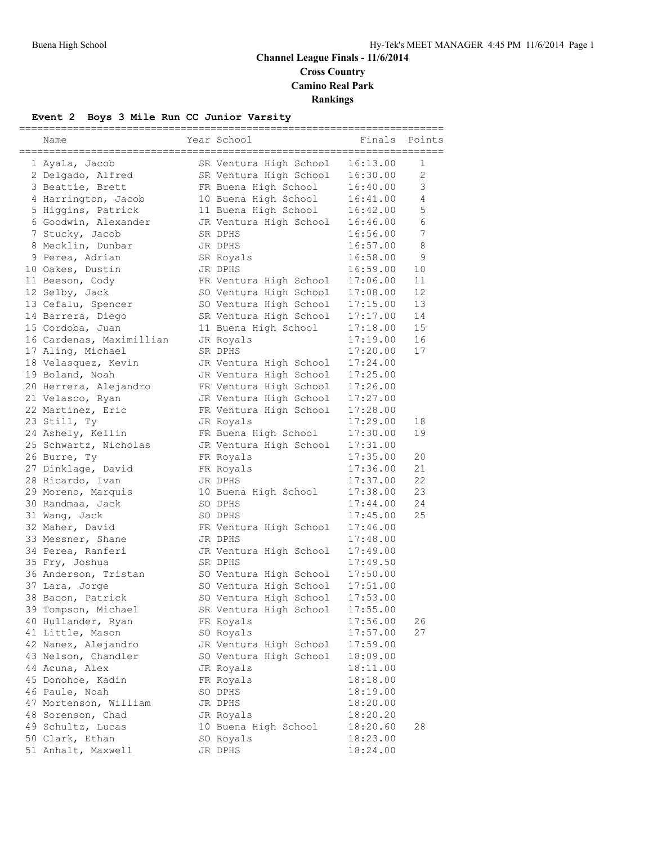# **Channel League Finals - 11/6/2014 Cross Country Camino Real Park Rankings**

## **Event 2 Boys 3 Mile Run CC Junior Varsity**

| Name                     | Year School            | Finals   | Points         |
|--------------------------|------------------------|----------|----------------|
|                          |                        |          |                |
| 1 Ayala, Jacob           | SR Ventura High School | 16:13.00 | 1              |
| 2 Delgado, Alfred        | SR Ventura High School | 16:30.00 | $\overline{2}$ |
| 3 Beattie, Brett         | FR Buena High School   | 16:40.00 | 3              |
| 4 Harrington, Jacob      | 10 Buena High School   | 16:41.00 | 4              |
| 5 Higgins, Patrick       | 11 Buena High School   | 16:42.00 | 5              |
| 6 Goodwin, Alexander     | JR Ventura High School | 16:46.00 | 6              |
| 7 Stucky, Jacob          | SR DPHS                | 16:56.00 | 7              |
| 8 Mecklin, Dunbar        | JR DPHS                | 16:57.00 | 8              |
| 9 Perea, Adrian          | SR Royals              | 16:58.00 | 9              |
| 10 Oakes, Dustin         | JR DPHS                | 16:59.00 | 10             |
| 11 Beeson, Cody          | FR Ventura High School | 17:06.00 | 11             |
| 12 Selby, Jack           | SO Ventura High School | 17:08.00 | 12             |
| 13 Cefalu, Spencer       | SO Ventura High School | 17:15.00 | 13             |
| 14 Barrera, Diego        | SR Ventura High School | 17:17.00 | 14             |
| 15 Cordoba, Juan         | 11 Buena High School   | 17:18.00 | 15             |
| 16 Cardenas, Maximillian | JR Royals              | 17:19.00 | 16             |
| 17 Aling, Michael        | SR DPHS                | 17:20.00 | 17             |
| 18 Velasquez, Kevin      | JR Ventura High School | 17:24.00 |                |
| 19 Boland, Noah          | JR Ventura High School | 17:25.00 |                |
| 20 Herrera, Alejandro    | FR Ventura High School | 17:26.00 |                |
| 21 Velasco, Ryan         | JR Ventura High School | 17:27.00 |                |
| 22 Martinez, Eric        | FR Ventura High School | 17:28.00 |                |
| 23 Still, Ty             | JR Royals              | 17:29.00 | 18             |
| 24 Ashely, Kellin        | FR Buena High School   | 17:30.00 | 19             |
| 25 Schwartz, Nicholas    | JR Ventura High School | 17:31.00 |                |
| 26 Burre, Ty             | FR Royals              | 17:35.00 | 20             |
| 27 Dinklage, David       | FR Royals              | 17:36.00 | 21             |
| 28 Ricardo, Ivan         | JR DPHS                | 17:37.00 | 22             |
| 29 Moreno, Marquis       | 10 Buena High School   | 17:38.00 | 23             |
| 30 Randmaa, Jack         | SO DPHS                | 17:44.00 | 24             |
| 31 Wang, Jack            | SO DPHS                | 17:45.00 | 25             |
| 32 Maher, David          | FR Ventura High School | 17:46.00 |                |
| 33 Messner, Shane        | JR DPHS                | 17:48.00 |                |
| 34 Perea, Ranferi        | JR Ventura High School | 17:49.00 |                |
| 35 Fry, Joshua           | SR DPHS                | 17:49.50 |                |
| 36 Anderson, Tristan     | SO Ventura High School | 17:50.00 |                |
| 37 Lara, Jorge           | SO Ventura High School | 17:51.00 |                |
| 38 Bacon, Patrick        | SO Ventura High School | 17:53.00 |                |
| 39 Tompson, Michael      | SR Ventura High School | 17:55.00 |                |
| 40 Hullander, Ryan       | FR Royals              | 17:56.00 | 26             |
| 41 Little, Mason         | SO Royals              | 17:57.00 | 27             |
| 42 Nanez, Alejandro      | JR Ventura High School | 17:59.00 |                |
| 43 Nelson, Chandler      | SO Ventura High School | 18:09.00 |                |
| 44 Acuna, Alex           | JR Royals              | 18:11.00 |                |
| 45 Donohoe, Kadin        | FR Royals              | 18:18.00 |                |
| 46 Paule, Noah           | SO DPHS                | 18:19.00 |                |
| 47 Mortenson, William    | JR DPHS                | 18:20.00 |                |
| 48 Sorenson, Chad        | JR Royals              | 18:20.20 |                |
| 49 Schultz, Lucas        | 10 Buena High School   | 18:20.60 | 28             |
| 50 Clark, Ethan          | SO Royals              | 18:23.00 |                |
| 51 Anhalt, Maxwell       | JR DPHS                | 18:24.00 |                |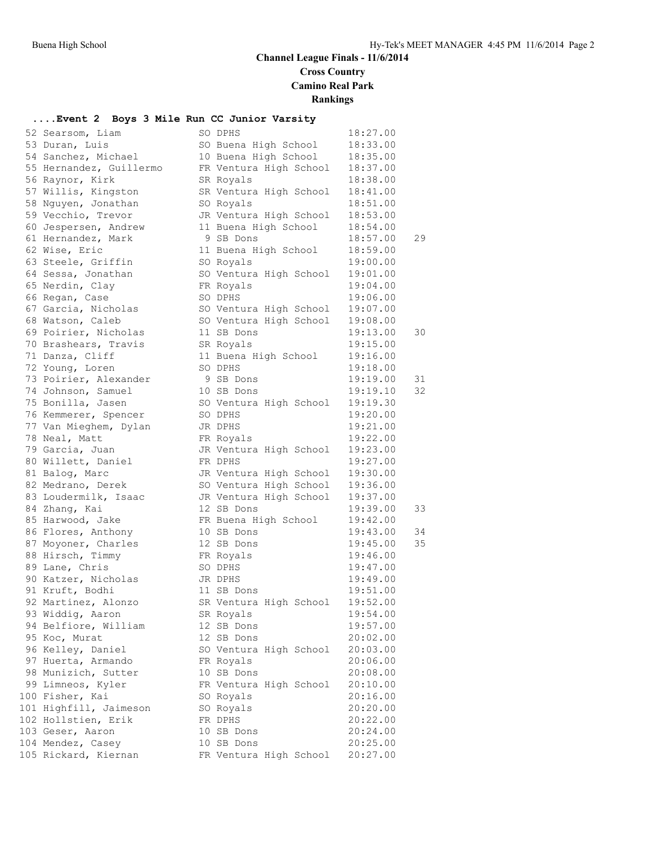# **Channel League Finals - 11/6/2014 Cross Country**

**Camino Real Park**

# **Rankings**

#### **....Event 2 Boys 3 Mile Run CC Junior Varsity**

| 52 Searsom, Liam        | SO DPHS                | 18:27.00 |    |
|-------------------------|------------------------|----------|----|
| 53 Duran, Luis          | SO Buena High School   | 18:33.00 |    |
| 54 Sanchez, Michael     | 10 Buena High School   | 18:35.00 |    |
| 55 Hernandez, Guillermo | FR Ventura High School | 18:37.00 |    |
| 56 Raynor, Kirk         | SR Royals              | 18:38.00 |    |
| 57 Willis, Kingston     | SR Ventura High School | 18:41.00 |    |
| 58 Nguyen, Jonathan     | SO Royals              | 18:51.00 |    |
| 59 Vecchio, Trevor      | JR Ventura High School | 18:53.00 |    |
| 60 Jespersen, Andrew    | 11 Buena High School   | 18:54.00 |    |
| 61 Hernandez, Mark      | 9 SB Dons              | 18:57.00 | 29 |
| 62 Wise, Eric           | 11 Buena High School   | 18:59.00 |    |
| 63 Steele, Griffin      | SO Royals              | 19:00.00 |    |
| 64 Sessa, Jonathan      | SO Ventura High School | 19:01.00 |    |
| 65 Nerdin, Clay         | FR Royals              | 19:04.00 |    |
|                         |                        |          |    |
| 66 Regan, Case          | SO DPHS                | 19:06.00 |    |
| 67 Garcia, Nicholas     | SO Ventura High School | 19:07.00 |    |
| 68 Watson, Caleb        | SO Ventura High School | 19:08.00 |    |
| 69 Poirier, Nicholas    | 11 SB Dons             | 19:13.00 | 30 |
| 70 Brashears, Travis    | SR Royals              | 19:15.00 |    |
| 71 Danza, Cliff         | 11 Buena High School   | 19:16.00 |    |
| 72 Young, Loren         | SO DPHS                | 19:18.00 |    |
| 73 Poirier, Alexander   | 9 SB Dons              | 19:19.00 | 31 |
| 74 Johnson, Samuel      | 10 SB Dons             | 19:19.10 | 32 |
| 75 Bonilla, Jasen       | SO Ventura High School | 19:19.30 |    |
| 76 Kemmerer, Spencer    | SO DPHS                | 19:20.00 |    |
| 77 Van Mieghem, Dylan   | JR DPHS                | 19:21.00 |    |
| 78 Neal, Matt           | FR Royals              | 19:22.00 |    |
| 79 Garcia, Juan         | JR Ventura High School | 19:23.00 |    |
| 80 Willett, Daniel      | FR DPHS                | 19:27.00 |    |
| 81 Balog, Marc          | JR Ventura High School | 19:30.00 |    |
| 82 Medrano, Derek       | SO Ventura High School | 19:36.00 |    |
| 83 Loudermilk, Isaac    | JR Ventura High School | 19:37.00 |    |
| 84 Zhang, Kai           | 12 SB Dons             | 19:39.00 | 33 |
| 85 Harwood, Jake        | FR Buena High School   | 19:42.00 |    |
| 86 Flores, Anthony      | 10 SB Dons             | 19:43.00 | 34 |
| 87 Moyoner, Charles     | 12 SB Dons             | 19:45.00 | 35 |
| 88 Hirsch, Timmy        | FR Royals              | 19:46.00 |    |
| 89 Lane, Chris          | SO DPHS                | 19:47.00 |    |
| 90 Katzer, Nicholas     | JR DPHS                | 19:49.00 |    |
| 91 Kruft, Bodhi         | 11 SB Dons             | 19:51.00 |    |
| 92 Martinez, Alonzo     | SR Ventura High School | 19:52.00 |    |
| 93 Widdig, Aaron        | SR Royals              | 19:54.00 |    |
| 94 Belfiore, William    | 12 SB Dons             | 19:57.00 |    |
| 95 Koc, Murat           | 12 SB Dons             | 20:02.00 |    |
| 96 Kelley, Daniel       | SO Ventura High School | 20:03.00 |    |
| 97 Huerta, Armando      | FR Royals              | 20:06.00 |    |
| 98 Munizich, Sutter     | 10 SB Dons             | 20:08.00 |    |
| 99 Limneos, Kyler       | FR Ventura High School | 20:10.00 |    |
| 100 Fisher, Kai         | SO Royals              | 20:16.00 |    |
| 101 Highfill, Jaimeson  | SO Royals              | 20:20.00 |    |
| 102 Hollstien, Erik     | FR DPHS                | 20:22.00 |    |
| 103 Geser, Aaron        | 10 SB Dons             | 20:24.00 |    |
| 104 Mendez, Casey       | 10 SB Dons             | 20:25.00 |    |
| 105 Rickard, Kiernan    | FR Ventura High School | 20:27.00 |    |
|                         |                        |          |    |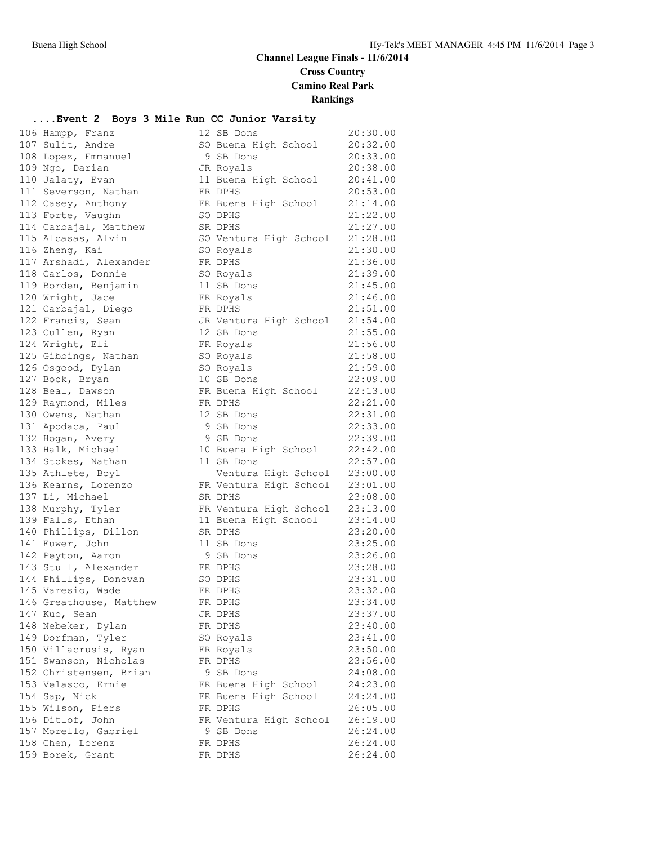## **Channel League Finals - 11/6/2014 Cross Country**

**Camino Real Park**

**Rankings**

#### **....Event 2 Boys 3 Mile Run CC Junior Varsity**

| 106 Hampp, Franz                            | 12 SB Dons                      | 20:30.00             |
|---------------------------------------------|---------------------------------|----------------------|
| 107 Sulit, Andre                            | SO Buena High School            | 20:32.00             |
| 108 Lopez, Emmanuel                         | 9 SB Dons                       | 20:33.00             |
| 109 Ngo, Darian                             | JR Royals                       | 20:38.00             |
| 110 Jalaty, Evan                            | 11 Buena High School            | 20:41.00             |
| 111 Severson, Nathan                        | FR DPHS                         | 20:53.00             |
| 112 Casey, Anthony                          | FR Buena High School            | 21:14.00             |
| 113 Forte, Vaughn                           | SO DPHS                         | 21:22.00             |
| 114 Carbajal, Matthew                       | SR DPHS                         | 21:27.00             |
| 115 Alcasas, Alvin                          | SO Ventura High School          | 21:28.00             |
| 116 Zheng, Kai                              | SO Royals                       | 21:30.00             |
| 117 Arshadi, Alexander                      | FR DPHS                         | 21:36.00             |
| 118 Carlos, Donnie                          | SO Royals                       | 21:39.00             |
| 119 Borden, Benjamin                        | 11 SB Dons                      | 21:45.00             |
| 120 Wright, Jace                            | FR Royals                       | 21:46.00             |
| 121 Carbajal, Diego                         | FR DPHS                         | 21:51.00             |
| 122 Francis, Sean                           | JR Ventura High School          | 21:54.00             |
| 123 Cullen, Ryan                            | 12 SB Dons                      | 21:55.00             |
| 124 Wright, Eli                             | FR Royals                       | 21:56.00             |
| 125 Gibbings, Nathan                        | SO Royals                       | 21:58.00             |
| 126 Osgood, Dylan                           | SO Royals                       | 21:59.00             |
| 127 Bock, Bryan                             | 10 SB Dons                      | 22:09.00             |
| 128 Beal, Dawson                            | FR Buena High School            | 22:13.00             |
| 129 Raymond, Miles                          | FR DPHS                         | 22:21.00             |
| 130 Owens, Nathan                           | 12 SB Dons                      | 22:31.00             |
| 131 Apodaca, Paul                           | 9 SB Dons                       | 22:33.00             |
| 132 Hogan, Avery                            | 9 SB Dons                       | 22:39.00             |
| 133 Halk, Michael                           | 10 Buena High School            | 22:42.00             |
| 134 Stokes, Nathan                          | 11 SB Dons                      | 22:57.00             |
| 135 Athlete, Boy1                           | Ventura High School             | 23:00.00             |
| 136 Kearns, Lorenzo                         | FR Ventura High School          | 23:01.00             |
| 137 Li, Michael                             | SR DPHS                         | 23:08.00             |
| 138 Murphy, Tyler                           | FR Ventura High School          | 23:13.00             |
| 139 Falls, Ethan                            | 11 Buena High School            | 23:14.00             |
| 140 Phillips, Dillon                        | SR DPHS                         | 23:20.00             |
| 141 Euwer, John                             | 11 SB Dons                      | 23:25.00             |
| 142 Peyton, Aaron                           | 9 SB Dons                       | 23:26.00             |
| 143 Stull, Alexander                        | FR DPHS                         | 23:28.00             |
| 144 Phillips, Donovan                       | SO DPHS                         | 23:31.00             |
| 145 Varesio, Wade                           | FR DPHS                         | 23:32.00             |
| 146 Greathouse, Matthew                     | FR DPHS                         | 23:34.00             |
| 147 Kuo, Sean                               | JR DPHS                         | 23:37.00             |
| 148 Nebeker, Dylan                          | FR DPHS                         | 23:40.00             |
| 149 Dorfman, Tyler<br>150 Villacrusis, Ryan | SO Royals                       | 23:41.00<br>23:50.00 |
| 151 Swanson, Nicholas                       | FR Royals<br>FR DPHS            | 23:56.00             |
| 152 Christensen, Brian                      | 9 SB Dons                       | 24:08.00             |
| 153 Velasco, Ernie                          |                                 | 24:23.00             |
| 154 Sap, Nick                               | FR Buena High School            | 24:24.00             |
| 155 Wilson, Piers                           | FR Buena High School<br>FR DPHS | 26:05.00             |
| 156 Ditlof, John                            | FR Ventura High School          | 26:19.00             |
| 157 Morello, Gabriel                        | 9 SB Dons                       | 26:24.00             |
| 158 Chen, Lorenz                            | FR DPHS                         | 26:24.00             |
| 159 Borek, Grant                            | FR DPHS                         | 26:24.00             |
|                                             |                                 |                      |